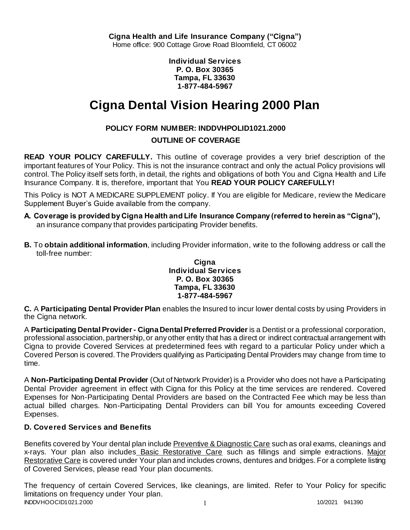**Individual Services P. O. Box 30365 Tampa, FL 33630 1-877-484-5967**

# **Cigna Dental Vision Hearing 2000 Plan**

# **POLICY FORM NUMBER: INDDVHPOLID1021.2000**

## **OUTLINE OF COVERAGE**

**READ YOUR POLICY CAREFULLY.** This outline of coverage provides a very brief description of the important features of Your Policy. This is not the insurance contract and only the actual Policy provisions will control. The Policy itself sets forth, in detail, the rights and obligations of both You and Cigna Health and Life Insurance Company. It is, therefore, important that You **READ YOUR POLICY CAREFULLY!** 

This Policy is NOT A MEDICARE SUPPLEMENT policy. If You are eligible for Medicare, review the Medicare Supplement Buyer's Guide available from the company.

- **A. Coverage is provided by Cigna Health and Life Insurance Company (referred to herein as "Cigna"),**  an insurance company that provides participating Provider benefits.
- **B.** To **obtain additional information**, including Provider information, write to the following address or call the toll-free number:

### **Cigna Individual Services P. O. Box 30365 Tampa, FL 33630 1-877-484-5967**

**C.** A **Participating Dental Provider Plan** enables the Insured to incur lower dental costs by using Providers in the Cigna network.

A **Participating Dental Provider - Cigna Dental Preferred Provider** is a Dentist or a professional corporation, professional association, partnership, or any other entity that has a direct or indirect contractual arrangement with Cigna to provide Covered Services at predetermined fees with regard to a particular Policy under which a Covered Person is covered. The Providers qualifying as Participating Dental Providers may change from time to time.

A **Non-Participating Dental Provider** (Out of Network Provider) is a Provider who does not have a Participating Dental Provider agreement in effect with Cigna for this Policy at the time services are rendered. Covered Expenses for Non-Participating Dental Providers are based on the Contracted Fee which may be less than actual billed charges. Non-Participating Dental Providers can bill You for amounts exceeding Covered Expenses.

# **D. Covered Services and Benefits**

Benefits covered by Your dental plan include Preventive & Diagnostic Care such as oral exams, cleanings and x-rays. Your plan also includes Basic Restorative Care such as fillings and simple extractions. Major Restorative Care is covered under Your plan and includes crowns, dentures and bridges. For a complete listing of Covered Services, please read Your plan documents.

INDDVHOOCID1021.2000 1 2000 1 2000 1 2000 1 2000 1 2000 1 2000 1 2000 1 2000 1 2000 1 2000 1 2000 1 2000 1 200 The frequency of certain Covered Services, like cleanings, are limited. Refer to Your Policy for specific limitations on frequency under Your plan.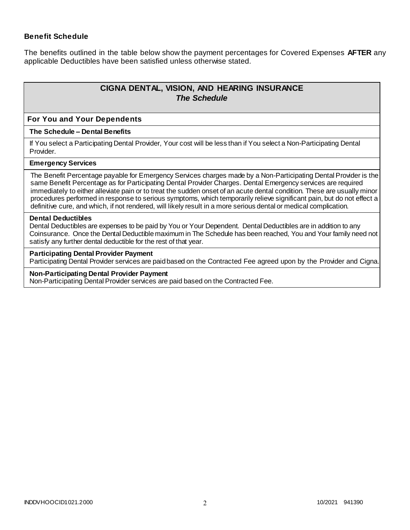### **Benefit Schedule**

The benefits outlined in the table below show the payment percentages for Covered Expenses **AFTER** any applicable Deductibles have been satisfied unless otherwise stated.

# **CIGNA DENTAL, VISION, AND HEARING INSURANCE** *The Schedule*

#### **For You and Your Dependents**

#### **The Schedule – Dental Benefits**

If You select a Participating Dental Provider, Your cost will be less than if You select a Non-Participating Dental Provider.

#### **Emergency Services**

The Benefit Percentage payable for Emergency Services charges made by a Non-Participating Dental Provider is the same Benefit Percentage as for Participating Dental Provider Charges. Dental Emergency services are required immediately to either alleviate pain or to treat the sudden onset of an acute dental condition. These are usually minor procedures performed in response to serious symptoms, which temporarily relieve significant pain, but do not effect a definitive cure, and which, if not rendered, will likely result in a more serious dental or medical complication.

#### **Dental Deductibles**

Dental Deductibles are expenses to be paid by You or Your Dependent. Dental Deductibles are in addition to any Coinsurance. Once the Dental Deductible maximum in The Schedule has been reached, You and Your family need not satisfy any further dental deductible for the rest of that year.

#### **Participating Dental Provider Payment**

Participating Dental Provider services are paid based on the Contracted Fee agreed upon by the Provider and Cigna.

#### **Non-Participating Dental Provider Payment**

Non-Participating Dental Provider services are paid based on the Contracted Fee.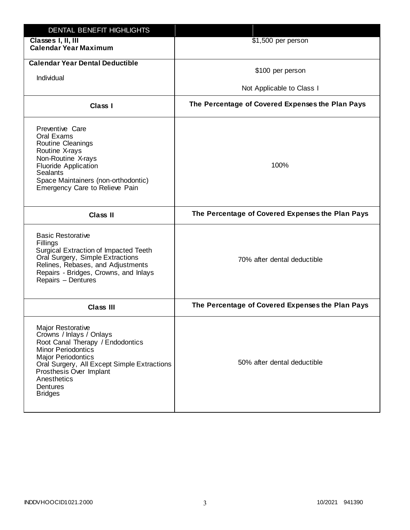| DENTAL BENEFIT HIGHLIGHTS                                                                                                                                                                                                                                          |                                                  |
|--------------------------------------------------------------------------------------------------------------------------------------------------------------------------------------------------------------------------------------------------------------------|--------------------------------------------------|
| Classes I, II, III<br><b>Calendar Year Maximum</b>                                                                                                                                                                                                                 | \$1,500 per person                               |
| <b>Calendar Year Dental Deductible</b><br>Individual                                                                                                                                                                                                               | \$100 per person<br>Not Applicable to Class I    |
| Class I                                                                                                                                                                                                                                                            | The Percentage of Covered Expenses the Plan Pays |
| Preventive Care<br>Oral Exams<br>Routine Cleanings<br>Routine X-rays<br>Non-Routine X-rays<br><b>Fluoride Application</b><br><b>Sealants</b><br>Space Maintainers (non-orthodontic)<br>Emergency Care to Relieve Pain                                              | 100%                                             |
| <b>Class II</b>                                                                                                                                                                                                                                                    | The Percentage of Covered Expenses the Plan Pays |
| <b>Basic Restorative</b><br>Fillings<br>Surgical Extraction of Impacted Teeth<br>Oral Surgery, Simple Extractions<br>Relines, Rebases, and Adjustments<br>Repairs - Bridges, Crowns, and Inlays<br>Repairs - Dentures                                              | 70% after dental deductible                      |
| <b>Class III</b>                                                                                                                                                                                                                                                   | The Percentage of Covered Expenses the Plan Pays |
| Major Restorative<br>Crowns / Inlays / Onlays<br>Root Canal Therapy / Endodontics<br><b>Minor Periodontics</b><br><b>Major Periodontics</b><br>Oral Surgery, All Except Simple Extractions<br>Prosthesis Over Implant<br>Anesthetics<br>Dentures<br><b>Bridges</b> | 50% after dental deductible                      |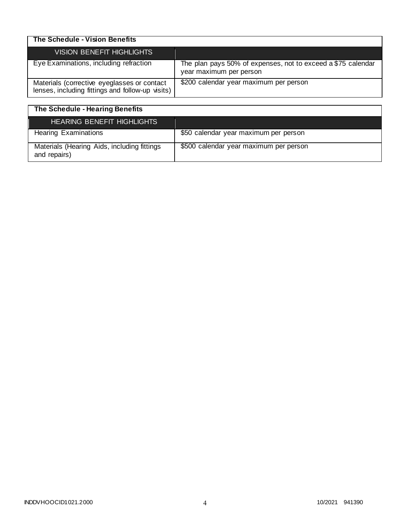| The Schedule - Vision Benefits                                                                  |                                                                                         |
|-------------------------------------------------------------------------------------------------|-----------------------------------------------------------------------------------------|
| VISION BENEFIT HIGHLIGHTS                                                                       |                                                                                         |
| Eye Examinations, including refraction                                                          | The plan pays 50% of expenses, not to exceed a \$75 calendar<br>year maximum per person |
| Materials (corrective eyeglasses or contact<br>lenses, including fittings and follow-up visits) | \$200 calendar year maximum per person                                                  |

| The Schedule - Hearing Benefits                             |                                        |
|-------------------------------------------------------------|----------------------------------------|
| <b>HEARING BENEFIT HIGHLIGHTS</b>                           |                                        |
| <b>Hearing Examinations</b>                                 | \$50 calendar year maximum per person  |
| Materials (Hearing Aids, including fittings<br>and repairs) | \$500 calendar year maximum per person |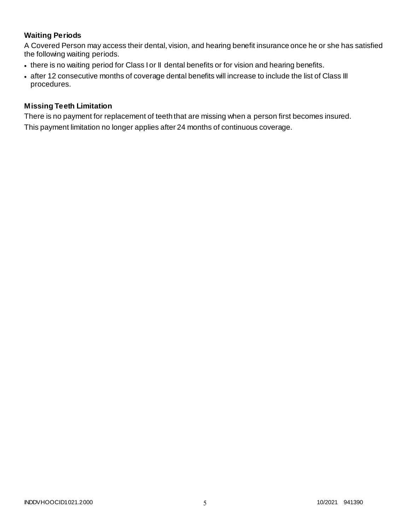# **Waiting Periods**

A Covered Person may access their dental, vision, and hearing benefit insurance once he or she has satisfied the following waiting periods.

- there is no waiting period for Class I or II dental benefits or for vision and hearing benefits.
- after 12 consecutive months of coverage dental benefits will increase to include the list of Class III procedures.

### **Missing Teeth Limitation**

There is no payment for replacement of teeth that are missing when a person first becomes insured. This payment limitation no longer applies after 24 months of continuous coverage.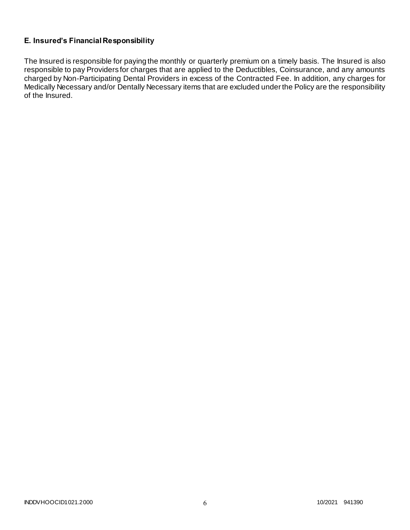# **E. Insured's Financial Responsibility**

The Insured is responsible for paying the monthly or quarterly premium on a timely basis. The Insured is also responsible to pay Providers for charges that are applied to the Deductibles, Coinsurance, and any amounts charged by Non-Participating Dental Providers in excess of the Contracted Fee. In addition, any charges for Medically Necessary and/or Dentally Necessary items that are excluded under the Policy are the responsibility of the Insured.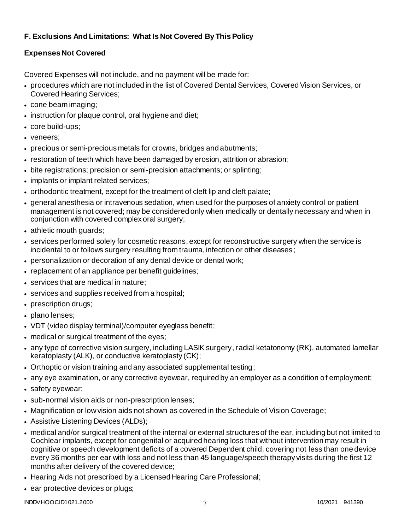# **F. Exclusions And Limitations: What Is Not Covered By This Policy**

# **Expenses Not Covered**

Covered Expenses will not include, and no payment will be made for:

- procedures which are not included in the list of Covered Dental Services, Covered Vision Services, or Covered Hearing Services;
- cone beam imaging;
- instruction for plaque control, oral hygiene and diet;
- core build-ups;
- veneers;
- precious or semi-precious metals for crowns, bridges and abutments;
- restoration of teeth which have been damaged by erosion, attrition or abrasion;
- bite registrations; precision or semi-precision attachments; or splinting;
- implants or implant related services;
- orthodontic treatment, except for the treatment of cleft lip and cleft palate;
- general anesthesia or intravenous sedation, when used for the purposes of anxiety control or patient management is not covered; may be considered only when medically or dentally necessary and when in conjunction with covered complex oral surgery;
- athletic mouth guards;
- services performed solely for cosmetic reasons, except for reconstructive surgery when the service is incidental to or follows surgery resulting from trauma, infection or other diseases;
- personalization or decoration of any dental device or dental work;
- replacement of an appliance per benefit guidelines;
- services that are medical in nature:
- services and supplies received from a hospital;
- prescription drugs;
- plano lenses;
- VDT (video display terminal)/computer eyeglass benefit;
- medical or surgical treatment of the eyes;
- any type of corrective vision surgery, including LASIK surgery, radial ketatonomy (RK), automated lamellar keratoplasty (ALK), or conductive keratoplasty (CK);
- Orthoptic or vision training and any associated supplemental testing;
- any eye examination, or any corrective eyewear, required by an employer as a condition of employment;
- safety eyewear;
- sub-normal vision aids or non-prescription lenses;
- Magnification or low vision aids not shown as covered in the Schedule of Vision Coverage;
- Assistive Listening Devices (ALDs);
- medical and/or surgical treatment of the internal or external structures of the ear, including but not limited to Cochlear implants, except for congenital or acquired hearing loss that without intervention may result in cognitive or speech development deficits of a covered Dependent child, covering not less than one device every 36 months per ear with loss and not less than 45 language/speech therapy visits during the first 12 months after delivery of the covered device;
- Hearing Aids not prescribed by a Licensed Hearing Care Professional;
- ear protective devices or plugs;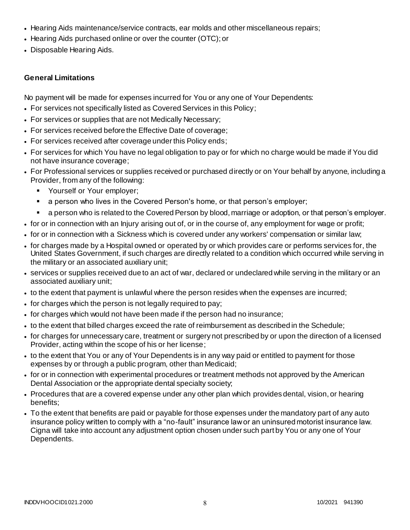- Hearing Aids maintenance/service contracts, ear molds and other miscellaneous repairs;
- Hearing Aids purchased online or over the counter (OTC); or
- Disposable Hearing Aids.

## **General Limitations**

No payment will be made for expenses incurred for You or any one of Your Dependents:

- For services not specifically listed as Covered Services in this Policy;
- For services or supplies that are not Medically Necessary;
- For services received before the Effective Date of coverage;
- For services received after coverage under this Policy ends;
- For services for which You have no legal obligation to pay or for which no charge would be made if You did not have insurance coverage;
- For Professional services or supplies received or purchased directly or on Your behalf by anyone, including a Provider, from any of the following:
	- **Yourself or Your employer;**
	- a person who lives in the Covered Person's home, or that person's employer;
	- a person who is related to the Covered Person by blood, marriage or adoption, or that person's employer.
- for or in connection with an Injury arising out of, or in the course of, any employment for wage or profit;
- for or in connection with a Sickness which is covered under any workers' compensation or similar law;
- for charges made by a Hospital owned or operated by or which provides care or performs services for, the United States Government, if such charges are directly related to a condition which occurred while serving in the military or an associated auxiliary unit;
- services or supplies received due to an act of war, declared or undeclared while serving in the military or an associated auxiliary unit;
- to the extent that payment is unlawful where the person resides when the expenses are incurred;
- for charges which the person is not legally required to pay;
- for charges which would not have been made if the person had no insurance;
- to the extent that billed charges exceed the rate of reimbursement as described in the Schedule;
- for charges for unnecessary care, treatment or surgery not prescribed by or upon the direction of a licensed Provider, acting within the scope of his or her license;
- to the extent that You or any of Your Dependents is in any way paid or entitled to payment for those expenses by or through a public program, other than Medicaid;
- for or in connection with experimental procedures or treatment methods not approved by the American Dental Association or the appropriate dental specialty society;
- Procedures that are a covered expense under any other plan which provides dental, vision, or hearing benefits;
- To the extent that benefits are paid or payable for those expenses under the mandatory part of any auto insurance policy written to comply with a "no-fault" insurance law or an uninsured motorist insurance law. Cigna will take into account any adjustment option chosen under such part by You or any one of Your Dependents.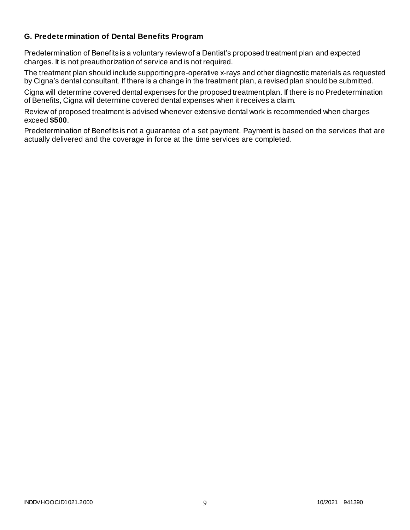# **G. Predetermination of Dental Benefits Program**

Predetermination of Benefits is a voluntary review of a Dentist's proposed treatment plan and expected charges. It is not preauthorization of service and is not required.

The treatment plan should include supporting pre-operative x-rays and other diagnostic materials as requested by Cigna's dental consultant. If there is a change in the treatment plan, a revised plan should be submitted.

Cigna will determine covered dental expenses for the proposed treatment plan. If there is no Predetermination of Benefits, Cigna will determine covered dental expenses when it receives a claim.

Review of proposed treatment is advised whenever extensive dental work is recommended when charges exceed **\$500**.

Predetermination of Benefits is not a guarantee of a set payment. Payment is based on the services that are actually delivered and the coverage in force at the time services are completed.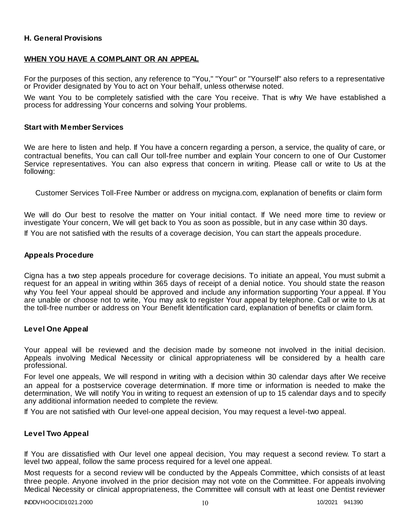### **H. General Provisions**

### **WHEN YOU HAVE A COMPLAINT OR AN APPEAL**

For the purposes of this section, any reference to "You," "Your" or "Yourself" also refers to a representative or Provider designated by You to act on Your behalf, unless otherwise noted.

We want You to be completely satisfied with the care You receive. That is why We have established a process for addressing Your concerns and solving Your problems.

#### **Start with Member Services**

We are here to listen and help. If You have a concern regarding a person, a service, the quality of care, or contractual benefits, You can call Our toll-free number and explain Your concern to one of Our Customer Service representatives. You can also express that concern in writing. Please call or write to Us at the following:

Customer Services Toll-Free Number or address on mycigna.com, explanation of benefits or claim form

We will do Our best to resolve the matter on Your initial contact. If We need more time to review or investigate Your concern, We will get back to You as soon as possible, but in any case within 30 days.

If You are not satisfied with the results of a coverage decision, You can start the appeals procedure.

### **Appeals Procedure**

Cigna has a two step appeals procedure for coverage decisions. To initiate an appeal, You must submit a request for an appeal in writing within 365 days of receipt of a denial notice. You should state the reason why You feel Your appeal should be approved and include any information supporting Your a ppeal. If You are unable or choose not to write, You may ask to register Your appeal by telephone. Call or write to Us at the toll-free number or address on Your Benefit Identification card, explanation of benefits or claim form.

### **Level One Appeal**

Your appeal will be reviewed and the decision made by someone not involved in the initial decision. Appeals involving Medical Necessity or clinical appropriateness will be considered by a health care professional.

For level one appeals, We will respond in writing with a decision within 30 calendar days after We receive an appeal for a postservice coverage determination. If more time or information is needed to make the determination, We will notify You in writing to request an extension of up to 15 calendar days and to specify any additional information needed to complete the review.

If You are not satisfied with Our level-one appeal decision, You may request a level-two appeal.

### **Level Two Appeal**

If You are dissatisfied with Our level one appeal decision, You may request a second review. To start a level two appeal, follow the same process required for a level one appeal.

Most requests for a second review will be conducted by the Appeals Committee, which consists of at least three people. Anyone involved in the prior decision may not vote on the Committee. For appeals involving Medical Necessity or clinical appropriateness, the Committee will consult with at least one Dentist reviewer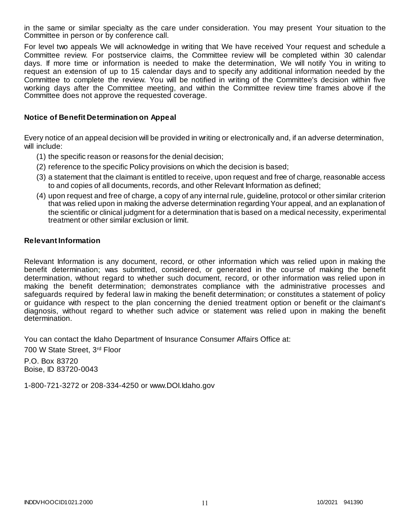in the same or similar specialty as the care under consideration. You may present Your situation to the Committee in person or by conference call.

For level two appeals We will acknowledge in writing that We have received Your request and schedule a Committee review. For postservice claims, the Committee review will be completed within 30 calendar days. If more time or information is needed to make the determination, We will notify You in writing to request an extension of up to 15 calendar days and to specify any additional information needed by the Committee to complete the review. You will be notified in writing of the Committee's decision within five working days after the Committee meeting, and within the Committee review time frames above if the Committee does not approve the requested coverage.

### **Notice of Benefit Determination on Appeal**

Every notice of an appeal decision will be provided in writing or electronically and, if an adverse determination, will include:

- (1) the specific reason or reasons for the denial decision;
- (2) reference to the specific Policy provisions on which the decision is based;
- (3) a statement that the claimant is entitled to receive, upon request and free of charge, reasonable access to and copies of all documents, records, and other Relevant Information as defined;
- (4) upon request and free of charge, a copy of any internal rule, guideline, protocol or other similar criterion that was relied upon in making the adverse determination regarding Your appeal, and an explanation of the scientific or clinical judgment for a determination that is based on a medical necessity, experimental treatment or other similar exclusion or limit.

### **Relevant Information**

Relevant Information is any document, record, or other information which was relied upon in making the benefit determination; was submitted, considered, or generated in the course of making the benefit determination, without regard to whether such document, record, or other information was relied upon in making the benefit determination; demonstrates compliance with the administrative processes and safeguards required by federal law in making the benefit determination; or constitutes a statement of policy or guidance with respect to the plan concerning the denied treatment option or benefit or the claimant's diagnosis, without regard to whether such advice or statement was relied upon in making the benefit determination.

You can contact the Idaho Department of Insurance Consumer Affairs Office at:

700 W State Street, 3rd Floor

P.O. Box 83720 Boise, ID 83720-0043

1-800-721-3272 or 208-334-4250 or www.DOI.Idaho.gov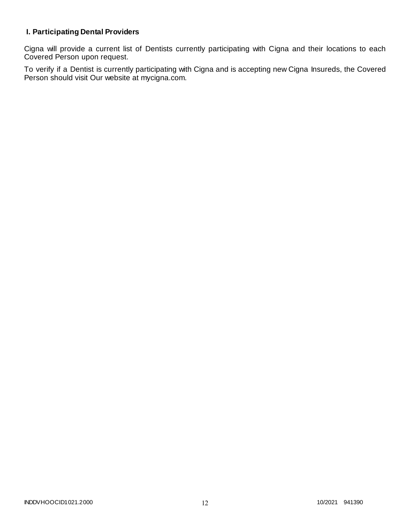# **I. Participating Dental Providers**

Cigna will provide a current list of Dentists currently participating with Cigna and their locations to each Covered Person upon request.

To verify if a Dentist is currently participating with Cigna and is accepting new Cigna Insureds, the Covered Person should visit Our website at mycigna.com.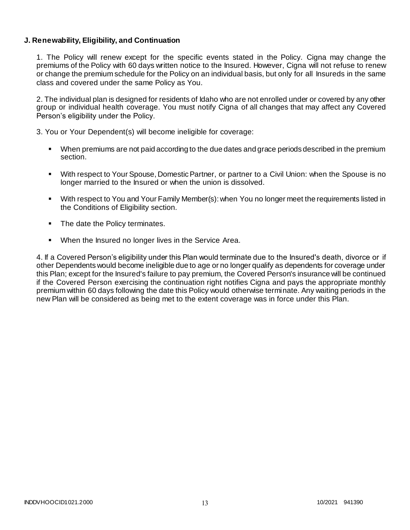### **J. Renewability, Eligibility, and Continuation**

1. The Policy will renew except for the specific events stated in the Policy. Cigna may change the premiums of the Policy with 60 days written notice to the Insured. However, Cigna will not refuse to renew or change the premium schedule for the Policy on an individual basis, but only for all Insureds in the same class and covered under the same Policy as You.

2. The individual plan is designed for residents of Idaho who are not enrolled under or covered by any other group or individual health coverage. You must notify Cigna of all changes that may affect any Covered Person's eligibility under the Policy.

3. You or Your Dependent(s) will become ineligible for coverage:

- When premiums are not paid according to the due dates and grace periods described in the premium section.
- With respect to Your Spouse, Domestic Partner, or partner to a Civil Union: when the Spouse is no longer married to the Insured or when the union is dissolved.
- With respect to You and Your Family Member(s): when You no longer meet the requirements listed in the Conditions of Eligibility section.
- The date the Policy terminates.
- When the Insured no longer lives in the Service Area.

4. If a Covered Person's eligibility under this Plan would terminate due to the Insured's death, divorce or if other Dependents would become ineligible due to age or no longer qualify as dependents for coverage under this Plan; except for the Insured's failure to pay premium, the Covered Person's insurance will be continued if the Covered Person exercising the continuation right notifies Cigna and pays the appropriate monthly premium within 60 days following the date this Policy would otherwise terminate. Any waiting periods in the new Plan will be considered as being met to the extent coverage was in force under this Plan.